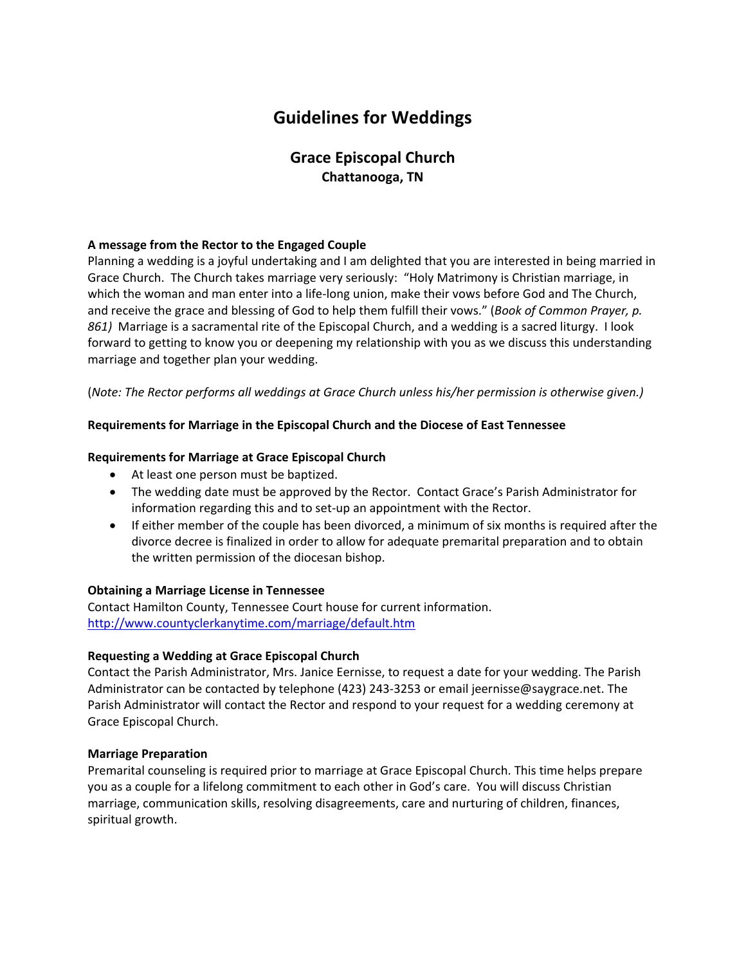# **Guidelines for Weddings**

# **Grace Episcopal Church Chattanooga, TN**

## **A message from the Rector to the Engaged Couple**

Planning a wedding is a joyful undertaking and I am delighted that you are interested in being married in Grace Church. The Church takes marriage very seriously: "Holy Matrimony is Christian marriage, in which the woman and man enter into a life-long union, make their vows before God and The Church, and receive the grace and blessing of God to help them fulfill their vows." (*Book of Common Prayer, p.* 861) Marriage is a sacramental rite of the Episcopal Church, and a wedding is a sacred liturgy. I look forward to getting to know you or deepening my relationship with you as we discuss this understanding marriage and together plan your wedding.

(*Note: The Rector performs all weddings at Grace Church unless his/her permission is otherwise given.)*

#### **Requirements for Marriage in the Episcopal Church and the Diocese of East Tennessee**

#### **Requirements for Marriage at Grace Episcopal Church**

- At least one person must be baptized.
- The wedding date must be approved by the Rector. Contact Grace's Parish Administrator for information regarding this and to set‐up an appointment with the Rector.
- If either member of the couple has been divorced, a minimum of six months is required after the divorce decree is finalized in order to allow for adequate premarital preparation and to obtain the written permission of the diocesan bishop.

#### **Obtaining a Marriage License in Tennessee**

Contact Hamilton County, Tennessee Court house for current information. http://www.countyclerkanytime.com/marriage/default.htm

#### **Requesting a Wedding at Grace Episcopal Church**

Contact the Parish Administrator, Mrs. Janice Eernisse, to request a date for your wedding. The Parish Administrator can be contacted by telephone (423) 243‐3253 or email jeernisse@saygrace.net. The Parish Administrator will contact the Rector and respond to your request for a wedding ceremony at Grace Episcopal Church.

#### **Marriage Preparation**

Premarital counseling is required prior to marriage at Grace Episcopal Church. This time helps prepare you as a couple for a lifelong commitment to each other in God's care. You will discuss Christian marriage, communication skills, resolving disagreements, care and nurturing of children, finances, spiritual growth.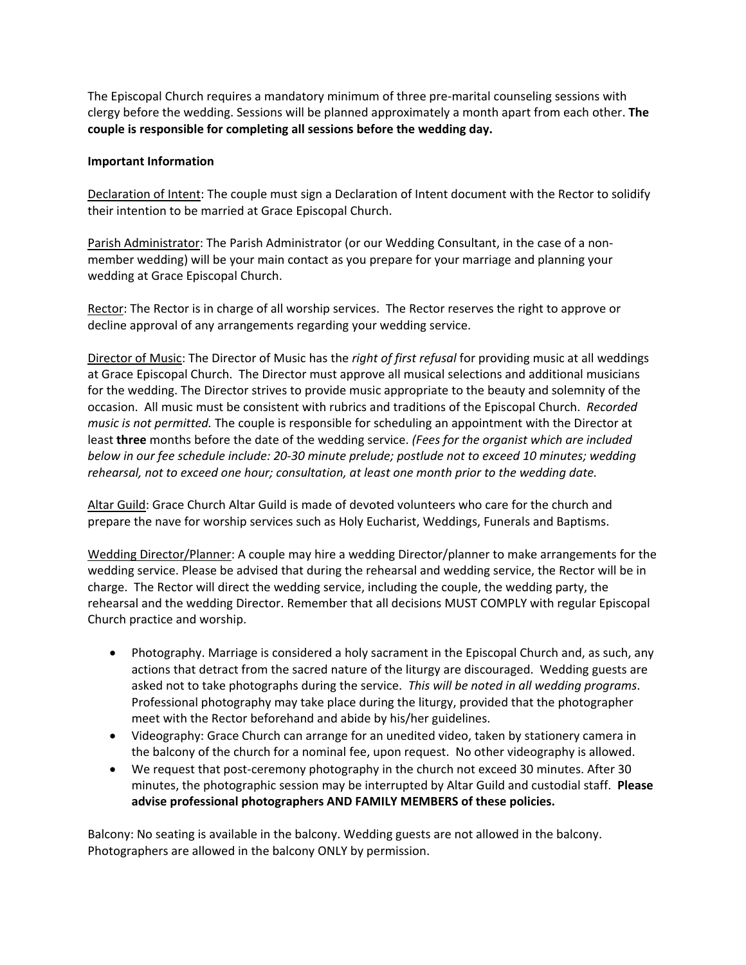The Episcopal Church requires a mandatory minimum of three pre‐marital counseling sessions with clergy before the wedding. Sessions will be planned approximately a month apart from each other. **The couple is responsible for completing all sessions before the wedding day.**

#### **Important Information**

Declaration of Intent: The couple must sign a Declaration of Intent document with the Rector to solidify their intention to be married at Grace Episcopal Church.

Parish Administrator: The Parish Administrator (or our Wedding Consultant, in the case of a non‐ member wedding) will be your main contact as you prepare for your marriage and planning your wedding at Grace Episcopal Church.

Rector: The Rector is in charge of all worship services. The Rector reserves the right to approve or decline approval of any arrangements regarding your wedding service.

Director of Music: The Director of Music has the *right of first refusal* for providing music at all weddings at Grace Episcopal Church. The Director must approve all musical selections and additional musicians for the wedding. The Director strives to provide music appropriate to the beauty and solemnity of the occasion. All music must be consistent with rubrics and traditions of the Episcopal Church. *Recorded music is not permitted.* The couple is responsible for scheduling an appointment with the Director at least **three** months before the date of the wedding service. *(Fees for the organist which are included* below in our fee schedule include: 20-30 minute prelude; postlude not to exceed 10 minutes; wedding *rehearsal, not to exceed one hour; consultation, at least one month prior to the wedding date.*

Altar Guild: Grace Church Altar Guild is made of devoted volunteers who care for the church and prepare the nave for worship services such as Holy Eucharist, Weddings, Funerals and Baptisms.

Wedding Director/Planner: A couple may hire a wedding Director/planner to make arrangements for the wedding service. Please be advised that during the rehearsal and wedding service, the Rector will be in charge. The Rector will direct the wedding service, including the couple, the wedding party, the rehearsal and the wedding Director. Remember that all decisions MUST COMPLY with regular Episcopal Church practice and worship.

- Photography. Marriage is considered a holy sacrament in the Episcopal Church and, as such, any actions that detract from the sacred nature of the liturgy are discouraged. Wedding guests are asked not to take photographs during the service. *This will be noted in all wedding programs*. Professional photography may take place during the liturgy, provided that the photographer meet with the Rector beforehand and abide by his/her guidelines.
- Videography: Grace Church can arrange for an unedited video, taken by stationery camera in the balcony of the church for a nominal fee, upon request. No other videography is allowed.
- We request that post-ceremony photography in the church not exceed 30 minutes. After 30 minutes, the photographic session may be interrupted by Altar Guild and custodial staff. **Please advise professional photographers AND FAMILY MEMBERS of these policies.**

Balcony: No seating is available in the balcony. Wedding guests are not allowed in the balcony. Photographers are allowed in the balcony ONLY by permission.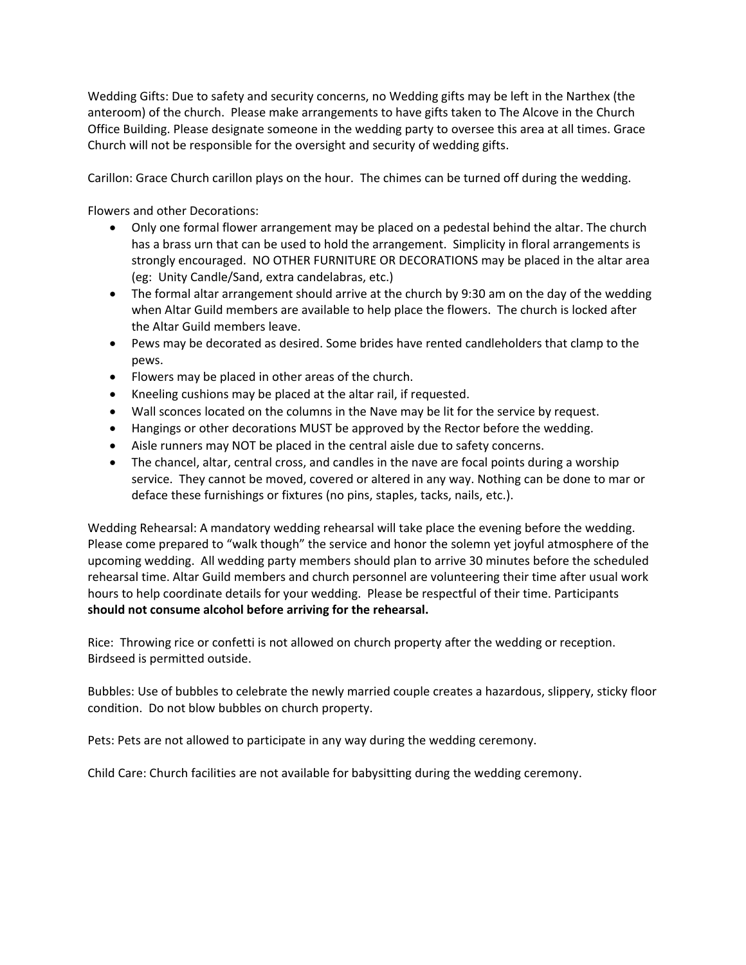Wedding Gifts: Due to safety and security concerns, no Wedding gifts may be left in the Narthex (the anteroom) of the church. Please make arrangements to have gifts taken to The Alcove in the Church Office Building. Please designate someone in the wedding party to oversee this area at all times. Grace Church will not be responsible for the oversight and security of wedding gifts.

Carillon: Grace Church carillon plays on the hour. The chimes can be turned off during the wedding.

Flowers and other Decorations:

- Only one formal flower arrangement may be placed on a pedestal behind the altar. The church has a brass urn that can be used to hold the arrangement. Simplicity in floral arrangements is strongly encouraged. NO OTHER FURNITURE OR DECORATIONS may be placed in the altar area (eg: Unity Candle/Sand, extra candelabras, etc.)
- The formal altar arrangement should arrive at the church by 9:30 am on the day of the wedding when Altar Guild members are available to help place the flowers. The church is locked after the Altar Guild members leave.
- Pews may be decorated as desired. Some brides have rented candleholders that clamp to the pews.
- Flowers may be placed in other areas of the church.
- Kneeling cushions may be placed at the altar rail, if requested.
- Wall sconces located on the columns in the Nave may be lit for the service by request.
- Hangings or other decorations MUST be approved by the Rector before the wedding.
- Aisle runners may NOT be placed in the central aisle due to safety concerns.
- The chancel, altar, central cross, and candles in the nave are focal points during a worship service. They cannot be moved, covered or altered in any way. Nothing can be done to mar or deface these furnishings or fixtures (no pins, staples, tacks, nails, etc.).

Wedding Rehearsal: A mandatory wedding rehearsal will take place the evening before the wedding. Please come prepared to "walk though" the service and honor the solemn yet joyful atmosphere of the upcoming wedding. All wedding party members should plan to arrive 30 minutes before the scheduled rehearsal time. Altar Guild members and church personnel are volunteering their time after usual work hours to help coordinate details for your wedding. Please be respectful of their time. Participants **should not consume alcohol before arriving for the rehearsal.**

Rice: Throwing rice or confetti is not allowed on church property after the wedding or reception. Birdseed is permitted outside.

Bubbles: Use of bubbles to celebrate the newly married couple creates a hazardous, slippery, sticky floor condition. Do not blow bubbles on church property.

Pets: Pets are not allowed to participate in any way during the wedding ceremony.

Child Care: Church facilities are not available for babysitting during the wedding ceremony.